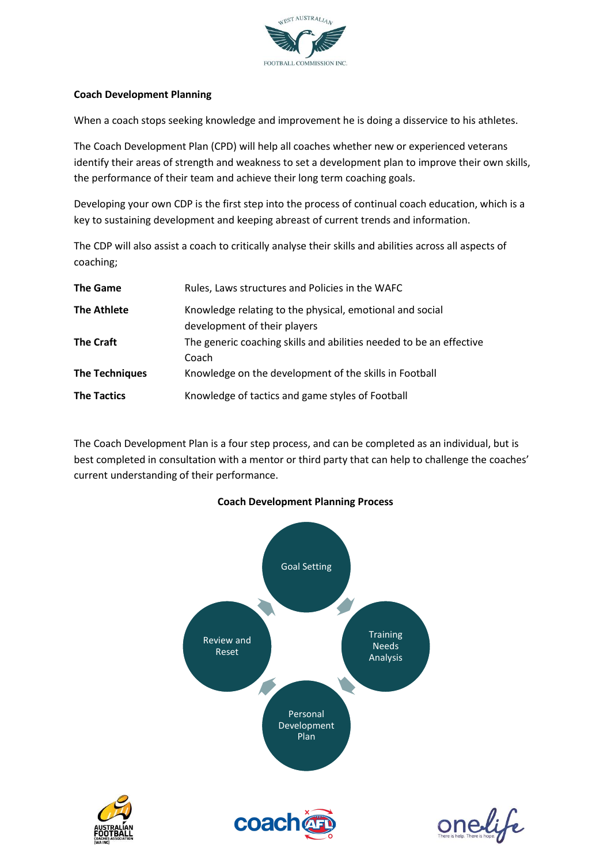

#### **Coach Development Planning**

When a coach stops seeking knowledge and improvement he is doing a disservice to his athletes.

The Coach Development Plan (CPD) will help all coaches whether new or experienced veterans identify their areas of strength and weakness to set a development plan to improve their own skills, the performance of their team and achieve their long term coaching goals.

Developing your own CDP is the first step into the process of continual coach education, which is a key to sustaining development and keeping abreast of current trends and information.

The CDP will also assist a coach to critically analyse their skills and abilities across all aspects of coaching;

| <b>The Game</b>       | Rules, Laws structures and Policies in the WAFC                                          |
|-----------------------|------------------------------------------------------------------------------------------|
| <b>The Athlete</b>    | Knowledge relating to the physical, emotional and social<br>development of their players |
| <b>The Craft</b>      | The generic coaching skills and abilities needed to be an effective<br>Coach             |
| <b>The Techniques</b> | Knowledge on the development of the skills in Football                                   |
| <b>The Tactics</b>    | Knowledge of tactics and game styles of Football                                         |

The Coach Development Plan is a four step process, and can be completed as an individual, but is best completed in consultation with a mentor or third party that can help to challenge the coaches' current understanding of their performance.





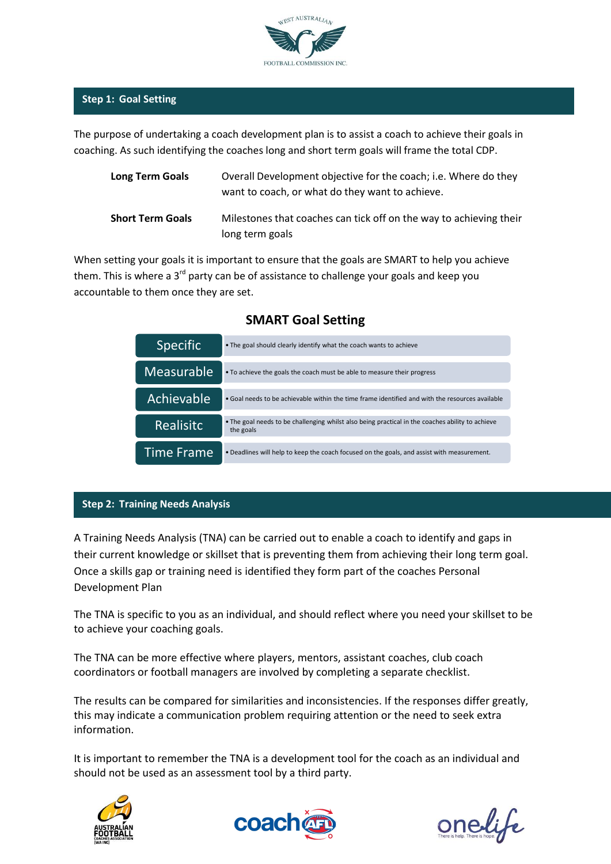

### **Step 1: Goal Setting**

The purpose of undertaking a coach development plan is to assist a coach to achieve their goals in coaching. As such identifying the coaches long and short term goals will frame the total CDP.

| <b>Long Term Goals</b>  | Overall Development objective for the coach; i.e. Where do they<br>want to coach, or what do they want to achieve. |
|-------------------------|--------------------------------------------------------------------------------------------------------------------|
| <b>Short Term Goals</b> | Milestones that coaches can tick off on the way to achieving their<br>long term goals                              |

When setting your goals it is important to ensure that the goals are SMART to help you achieve them. This is where a 3<sup>rd</sup> party can be of assistance to challenge your goals and keep you accountable to them once they are set.

| <b>Specific</b>   | • The goal should clearly identify what the coach wants to achieve                                            |  |  |  |
|-------------------|---------------------------------------------------------------------------------------------------------------|--|--|--|
| <b>Measurable</b> | • To achieve the goals the coach must be able to measure their progress                                       |  |  |  |
| Achievable        | • Goal needs to be achievable within the time frame identified and with the resources available               |  |  |  |
| <b>Realisitc</b>  | • The goal needs to be challenging whilst also being practical in the coaches ability to achieve<br>the goals |  |  |  |
| <b>Time Frame</b> | . Deadlines will help to keep the coach focused on the goals, and assist with measurement.                    |  |  |  |

## **SMART Goal Setting**

#### **Step 2: Training Needs Analysis**

A Training Needs Analysis (TNA) can be carried out to enable a coach to identify and gaps in their current knowledge or skillset that is preventing them from achieving their long term goal. Once a skills gap or training need is identified they form part of the coaches Personal Development Plan

The TNA is specific to you as an individual, and should reflect where you need your skillset to be to achieve your coaching goals.

The TNA can be more effective where players, mentors, assistant coaches, club coach coordinators or football managers are involved by completing a separate checklist.

The results can be compared for similarities and inconsistencies. If the responses differ greatly, this may indicate a communication problem requiring attention or the need to seek extra information.

It is important to remember the TNA is a development tool for the coach as an individual and should not be used as an assessment tool by a third party.





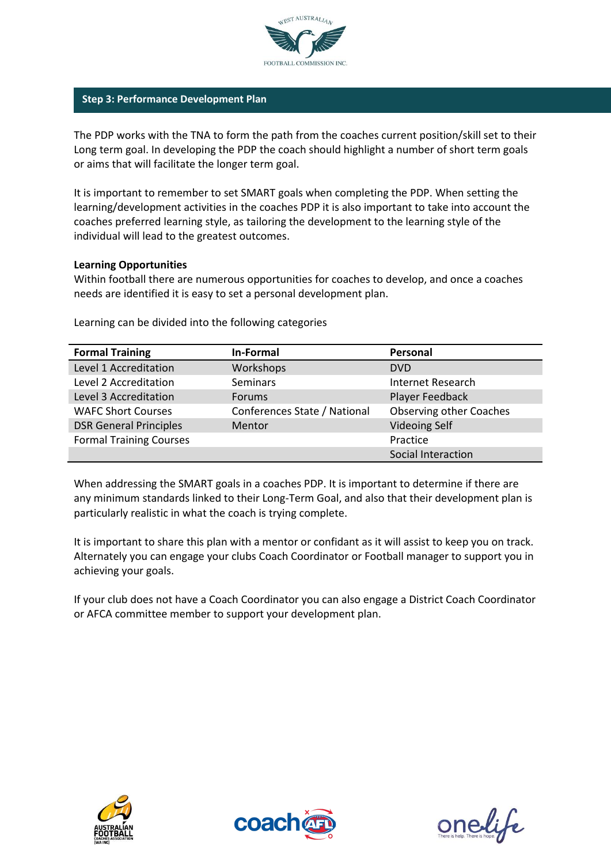

#### **Step 3: Performance Development Plan**

The PDP works with the TNA to form the path from the coaches current position/skill set to their Long term goal. In developing the PDP the coach should highlight a number of short term goals or aims that will facilitate the longer term goal.

It is important to remember to set SMART goals when completing the PDP. When setting the learning/development activities in the coaches PDP it is also important to take into account the coaches preferred learning style, as tailoring the development to the learning style of the individual will lead to the greatest outcomes.

#### **Learning Opportunities**

Within football there are numerous opportunities for coaches to develop, and once a coaches needs are identified it is easy to set a personal development plan.

|  | Learning can be divided into the following categories |  |
|--|-------------------------------------------------------|--|
|  |                                                       |  |

| <b>Formal Training</b>         | In-Formal                    | Personal                       |
|--------------------------------|------------------------------|--------------------------------|
| Level 1 Accreditation          | Workshops                    | <b>DVD</b>                     |
| Level 2 Accreditation          | <b>Seminars</b>              | Internet Research              |
| Level 3 Accreditation          | <b>Forums</b>                | Player Feedback                |
| <b>WAFC Short Courses</b>      | Conferences State / National | <b>Observing other Coaches</b> |
| <b>DSR General Principles</b>  | Mentor                       | <b>Videoing Self</b>           |
| <b>Formal Training Courses</b> |                              | Practice                       |
|                                |                              | Social Interaction             |

When addressing the SMART goals in a coaches PDP. It is important to determine if there are any minimum standards linked to their Long-Term Goal, and also that their development plan is particularly realistic in what the coach is trying complete.

It is important to share this plan with a mentor or confidant as it will assist to keep you on track. Alternately you can engage your clubs Coach Coordinator or Football manager to support you in achieving your goals.

If your club does not have a Coach Coordinator you can also engage a District Coach Coordinator or AFCA committee member to support your development plan.





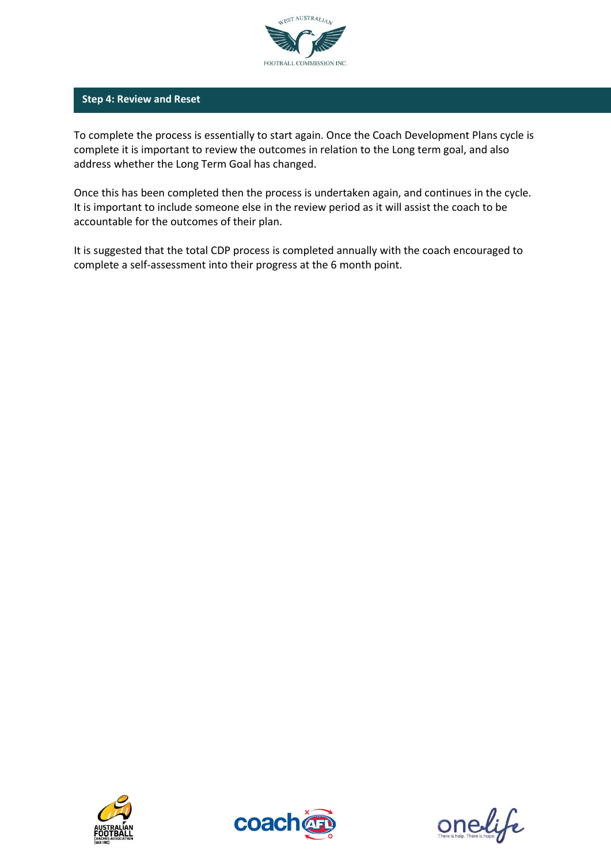

#### **Step 4: Review and Reset**

To complete the process is essentially to start again. Once the Coach Development Plans cycle is complete it is important to review the outcomes in relation to the Long term goal, and also address whether the Long Term Goal has changed.

Once this has been completed then the process is undertaken again, and continues in the cycle. It is important to include someone else in the review period as it will assist the coach to be accountable for the outcomes of their plan.

It is suggested that the total CDP process is completed annually with the coach encouraged to complete a self-assessment into their progress at the 6 month point.





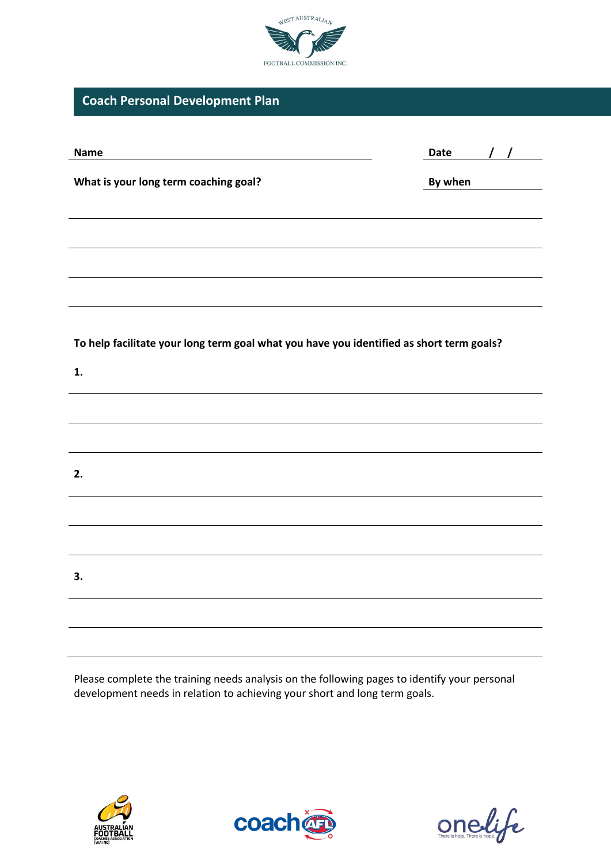

# **Coach Personal Development Plan**

| <b>Name</b>                                                                              | $\frac{1}{2}$<br>Date |  |  |
|------------------------------------------------------------------------------------------|-----------------------|--|--|
| What is your long term coaching goal?                                                    | By when               |  |  |
|                                                                                          |                       |  |  |
|                                                                                          |                       |  |  |
|                                                                                          |                       |  |  |
|                                                                                          |                       |  |  |
|                                                                                          |                       |  |  |
| To help facilitate your long term goal what you have you identified as short term goals? |                       |  |  |
| 1.                                                                                       |                       |  |  |
|                                                                                          |                       |  |  |
|                                                                                          |                       |  |  |
| 2.                                                                                       |                       |  |  |
|                                                                                          |                       |  |  |
|                                                                                          |                       |  |  |
|                                                                                          |                       |  |  |
| 3.                                                                                       |                       |  |  |
|                                                                                          |                       |  |  |
|                                                                                          |                       |  |  |

Please complete the training needs analysis on the following pages to identify your personal development needs in relation to achieving your short and long term goals.





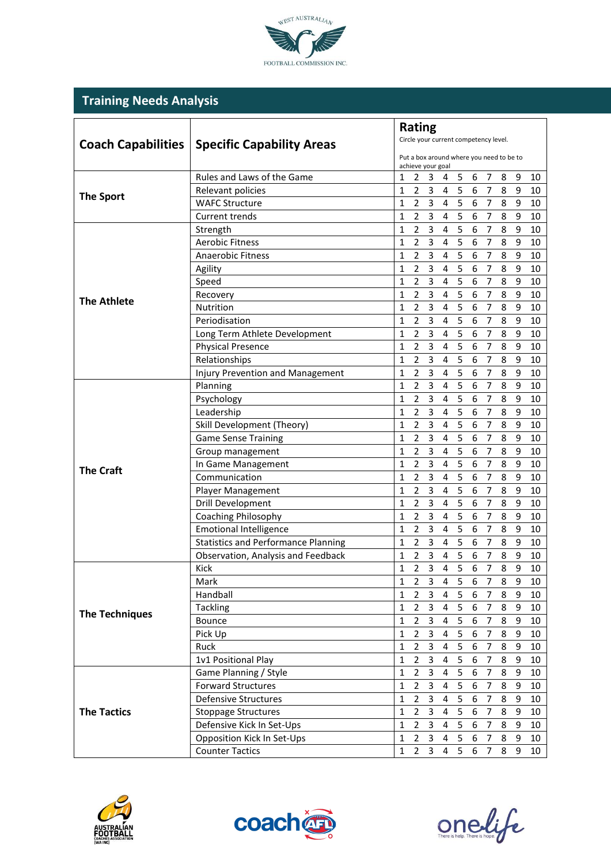

# **Training Needs Analysis**

|                           | <b>Rating</b>                              |                                                                                                                                              |  |  |  |
|---------------------------|--------------------------------------------|----------------------------------------------------------------------------------------------------------------------------------------------|--|--|--|
| <b>Coach Capabilities</b> | <b>Specific Capability Areas</b>           | Circle your current competency level.                                                                                                        |  |  |  |
|                           |                                            | Put a box around where you need to be to<br>achieve your goal                                                                                |  |  |  |
|                           | Rules and Laws of the Game                 | 5<br>6<br>1<br>2<br>3<br>4<br>7<br>8<br>9<br>10                                                                                              |  |  |  |
|                           | Relevant policies                          | $\overline{2}$<br>$\overline{3}$<br>5<br>6<br>$\overline{7}$<br>8<br>9<br>$\mathbf{1}$<br>4<br>10                                            |  |  |  |
| <b>The Sport</b>          | <b>WAFC Structure</b>                      | $\overline{3}$<br>5<br>6<br>$\overline{7}$<br>$\mathbf{1}$<br>$\overline{2}$<br>8<br>$\boldsymbol{9}$<br>4<br>10                             |  |  |  |
|                           | <b>Current trends</b>                      | 5<br>$\overline{2}$<br>$\overline{3}$<br>$\overline{7}$<br>4<br>6<br>8<br>9<br>1<br>10                                                       |  |  |  |
|                           | Strength                                   | 5<br>$\overline{7}$<br>$\overline{3}$<br>$\boldsymbol{6}$<br>$\overline{2}$<br>8<br>$\boldsymbol{9}$<br>$\mathbf{1}$<br>$\overline{4}$<br>10 |  |  |  |
|                           | <b>Aerobic Fitness</b>                     | $\overline{5}$<br>$\boldsymbol{6}$<br>$\overline{7}$<br>$\overline{2}$<br>$\overline{3}$<br>$\overline{4}$<br>8<br>9<br>$\mathbf{1}$<br>10   |  |  |  |
|                           | Anaerobic Fitness                          | $\overline{3}$<br>5<br>$\boldsymbol{6}$<br>$\overline{7}$<br>$\overline{2}$<br>8<br>$\mathbf{1}$<br>$\overline{4}$<br>9<br>10                |  |  |  |
|                           | Agility                                    | $\overline{3}$<br>5<br>$\overline{7}$<br>$\overline{2}$<br>6<br>8<br>9<br>1<br>$\overline{4}$<br>10                                          |  |  |  |
|                           | Speed                                      | $\overline{2}$<br>$\overline{3}$<br>5<br>$\overline{7}$<br>$\mathbf{1}$<br>6<br>8<br>9<br>4<br>10                                            |  |  |  |
|                           | Recovery                                   | $\overline{2}$<br>5<br>$\mathbf{1}$<br>3<br>6<br>$\overline{7}$<br>8<br>9<br>4<br>10                                                         |  |  |  |
| <b>The Athlete</b>        | Nutrition                                  | 5<br>$\overline{3}$<br>6<br>$\mathbf{1}$<br>$\overline{2}$<br>7<br>8<br>9<br>4<br>10                                                         |  |  |  |
|                           | Periodisation                              | 5<br>6<br>$\overline{7}$<br>$\overline{2}$<br>3<br>8<br>9<br>1<br>$\overline{4}$<br>10                                                       |  |  |  |
|                           | Long Term Athlete Development              | 5<br>6<br>$\overline{2}$<br>3<br>7<br>8<br>9<br>1<br>4<br>10                                                                                 |  |  |  |
|                           | <b>Physical Presence</b>                   | 5<br>6<br>$\mathbf{1}$<br>$\overline{2}$<br>$\overline{7}$<br>3<br>$\overline{4}$<br>8<br>9<br>10                                            |  |  |  |
|                           | Relationships                              | $\sqrt{5}$<br>$\boldsymbol{6}$<br>$\overline{2}$<br>$\overline{3}$<br>$\overline{7}$<br>1<br>$\overline{\mathbf{4}}$<br>8<br>9<br>10         |  |  |  |
|                           | Injury Prevention and Management           | 5<br>6<br>$\overline{7}$<br>$\overline{2}$<br>3<br>8<br>9<br>1<br>4<br>10                                                                    |  |  |  |
|                           | Planning                                   | 3<br>5<br>6<br>$\overline{7}$<br>2<br>8<br>9<br>1<br>4<br>10                                                                                 |  |  |  |
|                           | Psychology                                 | $\mathbf{1}$<br>5<br>6<br>$\overline{7}$<br>$\overline{2}$<br>3<br>8<br>4<br>9<br>10                                                         |  |  |  |
|                           | Leadership                                 | $\overline{3}$<br>$\overline{5}$<br>6<br>$\overline{7}$<br>1<br>$\overline{2}$<br>8<br>9<br>4<br>10                                          |  |  |  |
|                           | Skill Development (Theory)                 | $\sqrt{5}$<br>6<br>$\overline{2}$<br>3<br>$\overline{7}$<br>8<br>$\boldsymbol{9}$<br>1<br>4<br>10                                            |  |  |  |
|                           | <b>Game Sense Training</b>                 | 5<br>6<br>$\mathbf{1}$<br>$\overline{2}$<br>$\overline{3}$<br>$\overline{\mathbf{4}}$<br>7<br>8<br>9<br>10                                   |  |  |  |
|                           | Group management                           | 5<br>6<br>$\overline{7}$<br>$\overline{3}$<br>$\overline{2}$<br>$\overline{\mathbf{4}}$<br>8<br>$\boldsymbol{9}$<br>$\mathbf{1}$<br>10       |  |  |  |
|                           | In Game Management                         | 5<br>$\boldsymbol{6}$<br>$\overline{7}$<br>$\overline{2}$<br>$\overline{3}$<br>8<br>$\mathbf{1}$<br>$\overline{4}$<br>9<br>10                |  |  |  |
| <b>The Craft</b>          | Communication                              | $\overline{3}$<br>5<br>6<br>$\overline{7}$<br>$\overline{2}$<br>8<br>$\mathbf{1}$<br>9<br>10<br>4                                            |  |  |  |
|                           | Player Management                          | $\overline{3}$<br>5<br>$\overline{2}$<br>6<br>$\overline{7}$<br>8<br>9<br>1<br>4<br>10                                                       |  |  |  |
|                           | Drill Development                          | 5<br>2<br>3<br>$\overline{7}$<br>$\mathbf{1}$<br>6<br>8<br>9<br>4<br>10                                                                      |  |  |  |
|                           | Coaching Philosophy                        | $\overline{2}$<br>5<br>$\mathbf{1}$<br>3<br>6<br>7<br>8<br>9<br>4<br>10                                                                      |  |  |  |
|                           | <b>Emotional Intelligence</b>              | 5<br>$\overline{2}$<br>$\overline{3}$<br>6<br>$\overline{7}$<br>$\mathbf{1}$<br>8<br>9<br>4<br>10                                            |  |  |  |
|                           | <b>Statistics and Performance Planning</b> | 5<br>$\overline{2}$<br>$\overline{3}$<br>6<br>$\overline{7}$<br>$\boldsymbol{9}$<br>$\overline{\mathbf{4}}$<br>8<br>1<br>10                  |  |  |  |
|                           | Observation, Analysis and Feedback         | 5<br>7<br>3<br>6<br>$\overline{2}$<br>1<br>4<br>8<br>9<br>10                                                                                 |  |  |  |
|                           | Kick                                       | 5<br>$\overline{2}$<br>3<br>4<br>$\mathbf{1}$<br>6<br>$\overline{7}$<br>8<br>9<br>10                                                         |  |  |  |
|                           | Mark                                       | $\mathsf{3}$<br>5<br>$\overline{2}$<br>4<br>6<br>7<br>8<br>9<br>1<br>10                                                                      |  |  |  |
|                           | Handball                                   | $\overline{3}$<br>$5\phantom{.}$<br>$\overline{2}$<br>6<br>8<br>9<br>$\mathbf{1}$<br>4<br>$\overline{7}$<br>10                               |  |  |  |
| <b>The Techniques</b>     | <b>Tackling</b>                            | 5 <sup>5</sup><br>$\overline{2}$<br>$\mathbf{3}$<br>6<br>$\overline{7}$<br>8<br>9<br>1<br>4<br>10                                            |  |  |  |
|                           | Bounce                                     | $5\overline{5}$<br>$\mathbf{1}$<br>$\overline{2}$<br>3<br>6<br>$\overline{7}$<br>8<br>9<br>4<br>10                                           |  |  |  |
|                           | Pick Up                                    | $4\quad 5$<br>$\overline{2}$<br>3<br>$\overline{7}$<br>9<br>$\mathbf{1}$<br>6<br>8<br>10                                                     |  |  |  |
|                           | Ruck                                       | $\overline{3}$<br>$5\phantom{.}$<br>$\overline{2}$<br>6<br>8<br>$\boldsymbol{9}$<br>$\mathbf{1}$<br>$\overline{4}$<br>$\overline{7}$<br>10   |  |  |  |
|                           | 1v1 Positional Play                        | 5<br>$\overline{2}$<br>$\overline{3}$<br>6<br>$\overline{7}$<br>9<br>4<br>8<br>1<br>10                                                       |  |  |  |
|                           | Game Planning / Style                      | $\overline{2}$<br>$\overline{3}$<br>$5\phantom{.0}$<br>6<br>$\overline{7}$<br>8<br>$\mathbf{1}$<br>4<br>9<br>10                              |  |  |  |
|                           | <b>Forward Structures</b>                  | $\overline{3}$<br>5<br>$\overline{2}$<br>$\boldsymbol{6}$<br>$\overline{7}$<br>$\mathbf{1}$<br>4<br>8<br>9<br>10                             |  |  |  |
|                           | <b>Defensive Structures</b>                | $\overline{3}$<br>$5\phantom{.}$<br>$\overline{2}$<br>6<br>$\overline{7}$<br>8<br>9<br>1<br>4<br>10                                          |  |  |  |
| <b>The Tactics</b>        | <b>Stoppage Structures</b>                 | 3<br>5<br>6<br>8<br>1<br>$\overline{2}$<br>7<br>9<br>10<br>4                                                                                 |  |  |  |
|                           | Defensive Kick In Set-Ups                  | $\overline{2}$<br>$\mathbf{3}$<br>5<br>$\mathbf{1}$<br>6<br>7<br>8<br>9<br>4<br>10                                                           |  |  |  |
|                           | Opposition Kick In Set-Ups                 | $\mathbf{1}$<br>$\overline{2}$<br>$\mathbf{3}$<br>5<br>6<br>$\overline{7}$<br>9<br>4<br>8<br>10                                              |  |  |  |
|                           | <b>Counter Tactics</b>                     | $\overline{3}$<br>2 <sup>1</sup><br>5<br>6<br>$\overline{7}$<br>$\mathbf{1}$<br>8<br>9<br>10<br>4                                            |  |  |  |